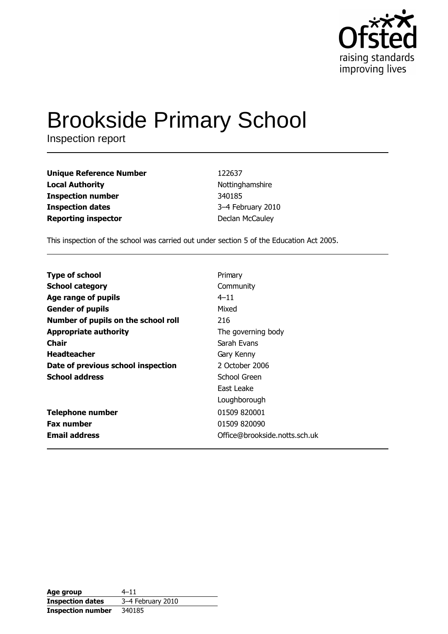

# **Brookside Primary School**

Inspection report

| <b>Unique Reference Number</b> | 122637            |
|--------------------------------|-------------------|
| <b>Local Authority</b>         | Nottinghamshire   |
| <b>Inspection number</b>       | 340185            |
| <b>Inspection dates</b>        | 3-4 February 2010 |
| <b>Reporting inspector</b>     | Declan McCauley   |

This inspection of the school was carried out under section 5 of the Education Act 2005.

| <b>Type of school</b>               | Primary                       |
|-------------------------------------|-------------------------------|
| <b>School category</b>              | Community                     |
| Age range of pupils                 | $4 - 11$                      |
| <b>Gender of pupils</b>             | Mixed                         |
| Number of pupils on the school roll | 216                           |
| <b>Appropriate authority</b>        | The governing body            |
| Chair                               | Sarah Evans                   |
| <b>Headteacher</b>                  | Gary Kenny                    |
| Date of previous school inspection  | 2 October 2006                |
| <b>School address</b>               | School Green                  |
|                                     | East Leake                    |
|                                     | Loughborough                  |
| <b>Telephone number</b>             | 01509 820001                  |
| <b>Fax number</b>                   | 01509 820090                  |
| <b>Email address</b>                | Office@brookside.notts.sch.uk |

| Age group                | $4 - 11$          |
|--------------------------|-------------------|
| <b>Inspection dates</b>  | 3-4 February 2010 |
| <b>Inspection number</b> | 340185            |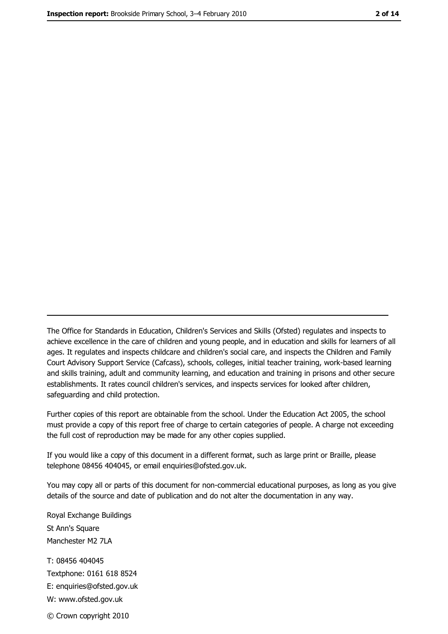The Office for Standards in Education, Children's Services and Skills (Ofsted) regulates and inspects to achieve excellence in the care of children and young people, and in education and skills for learners of all ages. It regulates and inspects childcare and children's social care, and inspects the Children and Family Court Advisory Support Service (Cafcass), schools, colleges, initial teacher training, work-based learning and skills training, adult and community learning, and education and training in prisons and other secure establishments. It rates council children's services, and inspects services for looked after children, safequarding and child protection.

Further copies of this report are obtainable from the school. Under the Education Act 2005, the school must provide a copy of this report free of charge to certain categories of people. A charge not exceeding the full cost of reproduction may be made for any other copies supplied.

If you would like a copy of this document in a different format, such as large print or Braille, please telephone 08456 404045, or email enquiries@ofsted.gov.uk.

You may copy all or parts of this document for non-commercial educational purposes, as long as you give details of the source and date of publication and do not alter the documentation in any way.

Royal Exchange Buildings St Ann's Square Manchester M2 7LA T: 08456 404045 Textphone: 0161 618 8524 E: enquiries@ofsted.gov.uk W: www.ofsted.gov.uk © Crown copyright 2010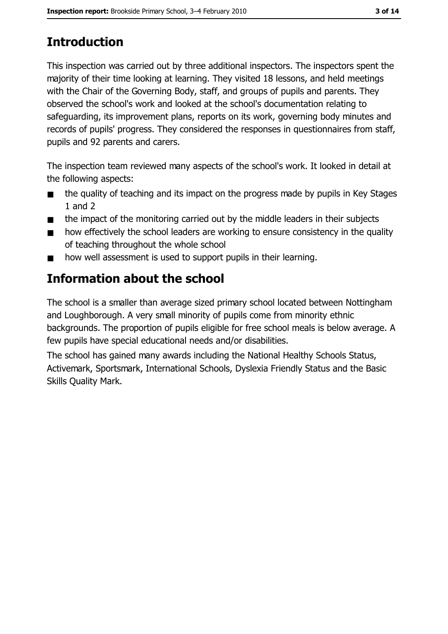# **Introduction**

This inspection was carried out by three additional inspectors. The inspectors spent the majority of their time looking at learning. They visited 18 lessons, and held meetings with the Chair of the Governing Body, staff, and groups of pupils and parents. They observed the school's work and looked at the school's documentation relating to safeguarding, its improvement plans, reports on its work, governing body minutes and records of pupils' progress. They considered the responses in questionnaires from staff, pupils and 92 parents and carers.

The inspection team reviewed many aspects of the school's work. It looked in detail at the following aspects:

- the quality of teaching and its impact on the progress made by pupils in Key Stages  $\blacksquare$  $1$  and  $2$
- the impact of the monitoring carried out by the middle leaders in their subjects  $\blacksquare$
- how effectively the school leaders are working to ensure consistency in the quality  $\blacksquare$ of teaching throughout the whole school
- how well assessment is used to support pupils in their learning.  $\blacksquare$

# Information about the school

The school is a smaller than average sized primary school located between Nottingham and Loughborough. A very small minority of pupils come from minority ethnic backgrounds. The proportion of pupils eligible for free school meals is below average. A few pupils have special educational needs and/or disabilities.

The school has gained many awards including the National Healthy Schools Status, Activemark, Sportsmark, International Schools, Dyslexia Friendly Status and the Basic **Skills Quality Mark.**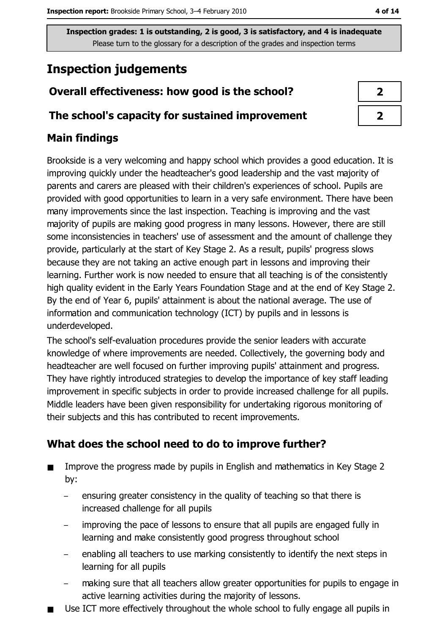## **Inspection judgements**

## Overall effectiveness: how good is the school?

#### The school's capacity for sustained improvement

## **Main findings**

Brookside is a very welcoming and happy school which provides a good education. It is improving quickly under the headteacher's good leadership and the vast majority of parents and carers are pleased with their children's experiences of school. Pupils are provided with good opportunities to learn in a very safe environment. There have been many improvements since the last inspection. Teaching is improving and the vast majority of pupils are making good progress in many lessons. However, there are still some inconsistencies in teachers' use of assessment and the amount of challenge they provide, particularly at the start of Key Stage 2. As a result, pupils' progress slows because they are not taking an active enough part in lessons and improving their learning. Further work is now needed to ensure that all teaching is of the consistently high quality evident in the Early Years Foundation Stage and at the end of Key Stage 2. By the end of Year 6, pupils' attainment is about the national average. The use of information and communication technology (ICT) by pupils and in lessons is underdeveloped.

The school's self-evaluation procedures provide the senior leaders with accurate knowledge of where improvements are needed. Collectively, the governing body and headteacher are well focused on further improving pupils' attainment and progress. They have rightly introduced strategies to develop the importance of key staff leading improvement in specific subjects in order to provide increased challenge for all pupils. Middle leaders have been given responsibility for undertaking rigorous monitoring of their subjects and this has contributed to recent improvements.

## What does the school need to do to improve further?

- Improve the progress made by pupils in English and mathematics in Key Stage 2  $\blacksquare$ by:
	- ensuring greater consistency in the quality of teaching so that there is  $\equiv$ increased challenge for all pupils
	- improving the pace of lessons to ensure that all pupils are engaged fully in  $\overline{\phantom{m}}$ learning and make consistently good progress throughout school
	- enabling all teachers to use marking consistently to identify the next steps in learning for all pupils
	- making sure that all teachers allow greater opportunities for pupils to engage in active learning activities during the majority of lessons.
- Use ICT more effectively throughout the whole school to fully engage all pupils in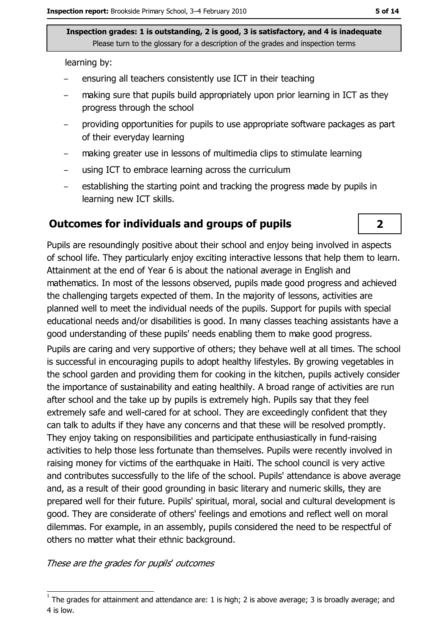learning by:

- ensuring all teachers consistently use ICT in their teaching
- making sure that pupils build appropriately upon prior learning in ICT as they progress through the school
- providing opportunities for pupils to use appropriate software packages as part of their everyday learning
- making greater use in lessons of multimedia clips to stimulate learning
- using ICT to embrace learning across the curriculum  $\equiv$
- establishing the starting point and tracking the progress made by pupils in learning new ICT skills.

#### **Outcomes for individuals and groups of pupils**

Pupils are resoundingly positive about their school and enjoy being involved in aspects of school life. They particularly enjoy exciting interactive lessons that help them to learn. Attainment at the end of Year 6 is about the national average in English and mathematics. In most of the lessons observed, pupils made good progress and achieved the challenging targets expected of them. In the majority of lessons, activities are planned well to meet the individual needs of the pupils. Support for pupils with special educational needs and/or disabilities is good. In many classes teaching assistants have a good understanding of these pupils' needs enabling them to make good progress.

Pupils are caring and very supportive of others; they behave well at all times. The school is successful in encouraging pupils to adopt healthy lifestyles. By growing vegetables in the school garden and providing them for cooking in the kitchen, pupils actively consider the importance of sustainability and eating healthily. A broad range of activities are run after school and the take up by pupils is extremely high. Pupils say that they feel extremely safe and well-cared for at school. They are exceedingly confident that they can talk to adults if they have any concerns and that these will be resolved promptly. They enjoy taking on responsibilities and participate enthusiastically in fund-raising activities to help those less fortunate than themselves. Pupils were recently involved in raising money for victims of the earthquake in Haiti. The school council is very active and contributes successfully to the life of the school. Pupils' attendance is above average and, as a result of their good grounding in basic literary and numeric skills, they are prepared well for their future. Pupils' spiritual, moral, social and cultural development is good. They are considerate of others' feelings and emotions and reflect well on moral dilemmas. For example, in an assembly, pupils considered the need to be respectful of others no matter what their ethnic background.

These are the grades for pupils' outcomes

 $\overline{\mathbf{2}}$ 

The grades for attainment and attendance are: 1 is high; 2 is above average; 3 is broadly average; and 4 is low.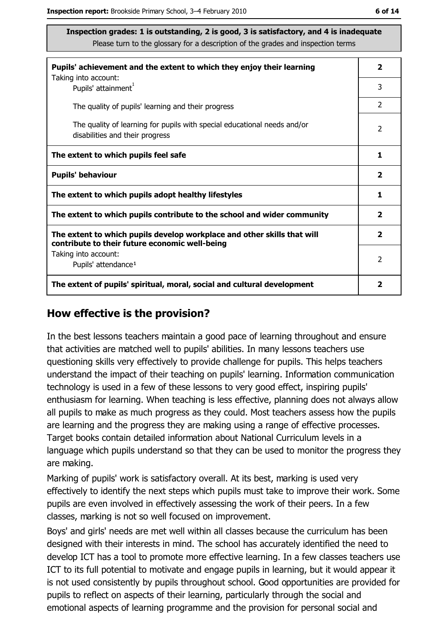| ۰.<br>× | ۰. |  |
|---------|----|--|
|         |    |  |

| Pupils' achievement and the extent to which they enjoy their learning                                                     |                         |
|---------------------------------------------------------------------------------------------------------------------------|-------------------------|
| Taking into account:<br>Pupils' attainment <sup>1</sup>                                                                   | 3                       |
| The quality of pupils' learning and their progress                                                                        | $\overline{2}$          |
| The quality of learning for pupils with special educational needs and/or<br>disabilities and their progress               | $\overline{2}$          |
| The extent to which pupils feel safe                                                                                      | 1                       |
| <b>Pupils' behaviour</b>                                                                                                  | $\overline{\mathbf{2}}$ |
| The extent to which pupils adopt healthy lifestyles                                                                       | 1                       |
| The extent to which pupils contribute to the school and wider community                                                   |                         |
| The extent to which pupils develop workplace and other skills that will<br>contribute to their future economic well-being | $\overline{\mathbf{2}}$ |
| Taking into account:                                                                                                      | $\mathcal{P}$           |
| Pupils' attendance <sup>1</sup>                                                                                           |                         |
| The extent of pupils' spiritual, moral, social and cultural development                                                   | 2                       |

#### How effective is the provision?

In the best lessons teachers maintain a good pace of learning throughout and ensure that activities are matched well to pupils' abilities. In many lessons teachers use questioning skills very effectively to provide challenge for pupils. This helps teachers understand the impact of their teaching on pupils' learning. Information communication technology is used in a few of these lessons to very good effect, inspiring pupils' enthusiasm for learning. When teaching is less effective, planning does not always allow all pupils to make as much progress as they could. Most teachers assess how the pupils are learning and the progress they are making using a range of effective processes. Target books contain detailed information about National Curriculum levels in a language which pupils understand so that they can be used to monitor the progress they are making.

Marking of pupils' work is satisfactory overall. At its best, marking is used very effectively to identify the next steps which pupils must take to improve their work. Some pupils are even involved in effectively assessing the work of their peers. In a few classes, marking is not so well focused on improvement.

Boys' and girls' needs are met well within all classes because the curriculum has been designed with their interests in mind. The school has accurately identified the need to develop ICT has a tool to promote more effective learning. In a few classes teachers use ICT to its full potential to motivate and engage pupils in learning, but it would appear it is not used consistently by pupils throughout school. Good opportunities are provided for pupils to reflect on aspects of their learning, particularly through the social and emotional aspects of learning programme and the provision for personal social and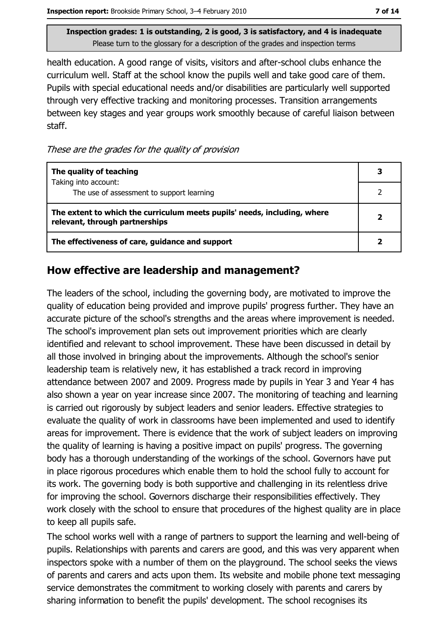health education. A good range of visits, visitors and after-school clubs enhance the curriculum well. Staff at the school know the pupils well and take good care of them. Pupils with special educational needs and/or disabilities are particularly well supported through very effective tracking and monitoring processes. Transition arrangements between key stages and year groups work smoothly because of careful liaison between staff.

These are the grades for the quality of provision

| The quality of teaching                                                                                    |  |
|------------------------------------------------------------------------------------------------------------|--|
| Taking into account:<br>The use of assessment to support learning                                          |  |
| The extent to which the curriculum meets pupils' needs, including, where<br>relevant, through partnerships |  |
| The effectiveness of care, guidance and support                                                            |  |

#### How effective are leadership and management?

The leaders of the school, including the governing body, are motivated to improve the quality of education being provided and improve pupils' progress further. They have an accurate picture of the school's strengths and the areas where improvement is needed. The school's improvement plan sets out improvement priorities which are clearly identified and relevant to school improvement. These have been discussed in detail by all those involved in bringing about the improvements. Although the school's senior leadership team is relatively new, it has established a track record in improving attendance between 2007 and 2009. Progress made by pupils in Year 3 and Year 4 has also shown a year on year increase since 2007. The monitoring of teaching and learning is carried out rigorously by subject leaders and senior leaders. Effective strategies to evaluate the quality of work in classrooms have been implemented and used to identify areas for improvement. There is evidence that the work of subject leaders on improving the quality of learning is having a positive impact on pupils' progress. The governing body has a thorough understanding of the workings of the school. Governors have put in place rigorous procedures which enable them to hold the school fully to account for its work. The governing body is both supportive and challenging in its relentless drive for improving the school. Governors discharge their responsibilities effectively. They work closely with the school to ensure that procedures of the highest quality are in place to keep all pupils safe.

The school works well with a range of partners to support the learning and well-being of pupils. Relationships with parents and carers are good, and this was very apparent when inspectors spoke with a number of them on the playground. The school seeks the views of parents and carers and acts upon them. Its website and mobile phone text messaging service demonstrates the commitment to working closely with parents and carers by sharing information to benefit the pupils' development. The school recognises its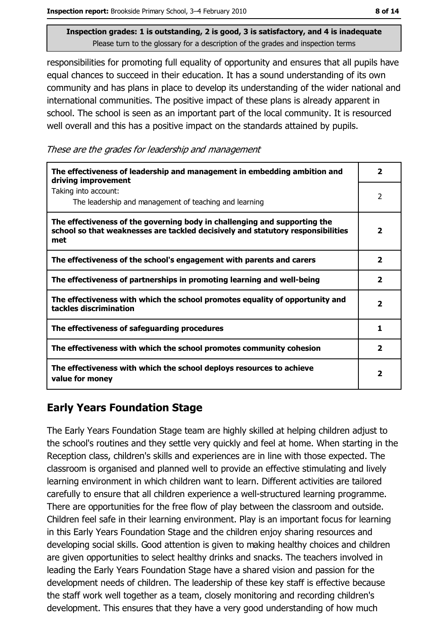responsibilities for promoting full equality of opportunity and ensures that all pupils have equal chances to succeed in their education. It has a sound understanding of its own community and has plans in place to develop its understanding of the wider national and international communities. The positive impact of these plans is already apparent in school. The school is seen as an important part of the local community. It is resourced well overall and this has a positive impact on the standards attained by pupils.

These are the grades for leadership and management

| The effectiveness of leadership and management in embedding ambition and<br>driving improvement                                                                     | 2                       |
|---------------------------------------------------------------------------------------------------------------------------------------------------------------------|-------------------------|
| Taking into account:<br>The leadership and management of teaching and learning                                                                                      | 2                       |
| The effectiveness of the governing body in challenging and supporting the<br>school so that weaknesses are tackled decisively and statutory responsibilities<br>met | 2                       |
| The effectiveness of the school's engagement with parents and carers                                                                                                | $\mathbf{2}$            |
| The effectiveness of partnerships in promoting learning and well-being                                                                                              | $\overline{\mathbf{2}}$ |
| The effectiveness with which the school promotes equality of opportunity and<br>tackles discrimination                                                              | 2                       |
| The effectiveness of safeguarding procedures                                                                                                                        | 1                       |
| The effectiveness with which the school promotes community cohesion                                                                                                 | 2                       |
| The effectiveness with which the school deploys resources to achieve<br>value for money                                                                             | 2                       |

## **Early Years Foundation Stage**

The Early Years Foundation Stage team are highly skilled at helping children adjust to the school's routines and they settle very quickly and feel at home. When starting in the Reception class, children's skills and experiences are in line with those expected. The classroom is organised and planned well to provide an effective stimulating and lively learning environment in which children want to learn. Different activities are tailored carefully to ensure that all children experience a well-structured learning programme. There are opportunities for the free flow of play between the classroom and outside. Children feel safe in their learning environment. Play is an important focus for learning in this Early Years Foundation Stage and the children enjoy sharing resources and developing social skills. Good attention is given to making healthy choices and children are given opportunities to select healthy drinks and snacks. The teachers involved in leading the Early Years Foundation Stage have a shared vision and passion for the development needs of children. The leadership of these key staff is effective because the staff work well together as a team, closely monitoring and recording children's development. This ensures that they have a very good understanding of how much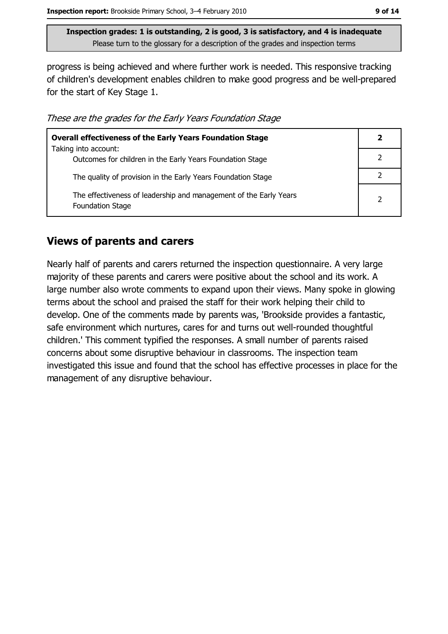progress is being achieved and where further work is needed. This responsive tracking of children's development enables children to make good progress and be well-prepared for the start of Key Stage 1.

These are the grades for the Early Years Foundation Stage

| <b>Overall effectiveness of the Early Years Foundation Stage</b>                             | 2              |
|----------------------------------------------------------------------------------------------|----------------|
| Taking into account:<br>Outcomes for children in the Early Years Foundation Stage            |                |
| The quality of provision in the Early Years Foundation Stage                                 |                |
| The effectiveness of leadership and management of the Early Years<br><b>Foundation Stage</b> | $\overline{2}$ |

#### **Views of parents and carers**

Nearly half of parents and carers returned the inspection questionnaire. A very large majority of these parents and carers were positive about the school and its work. A large number also wrote comments to expand upon their views. Many spoke in glowing terms about the school and praised the staff for their work helping their child to develop. One of the comments made by parents was, 'Brookside provides a fantastic, safe environment which nurtures, cares for and turns out well-rounded thoughtful children.' This comment typified the responses. A small number of parents raised concerns about some disruptive behaviour in classrooms. The inspection team investigated this issue and found that the school has effective processes in place for the management of any disruptive behaviour.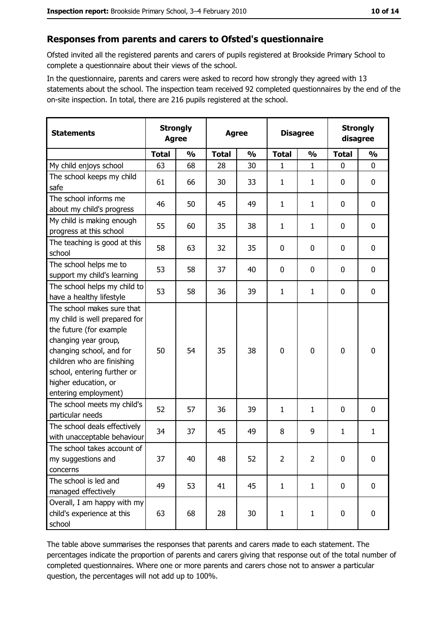#### Responses from parents and carers to Ofsted's questionnaire

Ofsted invited all the registered parents and carers of pupils registered at Brookside Primary School to complete a questionnaire about their views of the school.

In the questionnaire, parents and carers were asked to record how strongly they agreed with 13 statements about the school. The inspection team received 92 completed questionnaires by the end of the on-site inspection. In total, there are 216 pupils registered at the school.

| <b>Statements</b>                                                                                                                                                                                                                                       | <b>Strongly</b><br><b>Agree</b> |               | <b>Agree</b> |               | <b>Disagree</b> |               | <b>Strongly</b><br>disagree |               |
|---------------------------------------------------------------------------------------------------------------------------------------------------------------------------------------------------------------------------------------------------------|---------------------------------|---------------|--------------|---------------|-----------------|---------------|-----------------------------|---------------|
|                                                                                                                                                                                                                                                         | <b>Total</b>                    | $\frac{0}{0}$ | <b>Total</b> | $\frac{0}{0}$ | <b>Total</b>    | $\frac{0}{0}$ | <b>Total</b>                | $\frac{0}{0}$ |
| My child enjoys school                                                                                                                                                                                                                                  | 63                              | 68            | 28           | 30            | 1               | $\mathbf{1}$  | $\mathbf 0$                 | 0             |
| The school keeps my child<br>safe                                                                                                                                                                                                                       | 61                              | 66            | 30           | 33            | 1               | $\mathbf{1}$  | $\mathbf{0}$                | 0             |
| The school informs me<br>about my child's progress                                                                                                                                                                                                      | 46                              | 50            | 45           | 49            | $\mathbf{1}$    | 1             | $\mathbf 0$                 | 0             |
| My child is making enough<br>progress at this school                                                                                                                                                                                                    | 55                              | 60            | 35           | 38            | $\mathbf{1}$    | $\mathbf{1}$  | 0                           | 0             |
| The teaching is good at this<br>school                                                                                                                                                                                                                  | 58                              | 63            | 32           | 35            | $\mathbf 0$     | 0             | 0                           | 0             |
| The school helps me to<br>support my child's learning                                                                                                                                                                                                   | 53                              | 58            | 37           | 40            | 0               | 0             | 0                           | 0             |
| The school helps my child to<br>have a healthy lifestyle                                                                                                                                                                                                | 53                              | 58            | 36           | 39            | 1               | 1             | $\mathbf 0$                 | 0             |
| The school makes sure that<br>my child is well prepared for<br>the future (for example<br>changing year group,<br>changing school, and for<br>children who are finishing<br>school, entering further or<br>higher education, or<br>entering employment) | 50                              | 54            | 35           | 38            | $\mathbf 0$     | 0             | $\mathbf 0$                 | 0             |
| The school meets my child's<br>particular needs                                                                                                                                                                                                         | 52                              | 57            | 36           | 39            | $\mathbf{1}$    | 1             | $\mathbf{0}$                | 0             |
| The school deals effectively<br>with unacceptable behaviour                                                                                                                                                                                             | 34                              | 37            | 45           | 49            | 8               | 9             | 1                           | $\mathbf{1}$  |
| The school takes account of<br>my suggestions and<br>concerns                                                                                                                                                                                           | 37                              | 40            | 48           | 52            | $\overline{2}$  | 2             | $\mathbf 0$                 | 0             |
| The school is led and<br>managed effectively                                                                                                                                                                                                            | 49                              | 53            | 41           | 45            | $\mathbf{1}$    | $\mathbf{1}$  | $\bf{0}$                    | $\pmb{0}$     |
| Overall, I am happy with my<br>child's experience at this<br>school                                                                                                                                                                                     | 63                              | 68            | 28           | 30            | $\mathbf{1}$    | $\mathbf{1}$  | $\bf{0}$                    | $\pmb{0}$     |

The table above summarises the responses that parents and carers made to each statement. The percentages indicate the proportion of parents and carers giving that response out of the total number of completed questionnaires. Where one or more parents and carers chose not to answer a particular question, the percentages will not add up to 100%.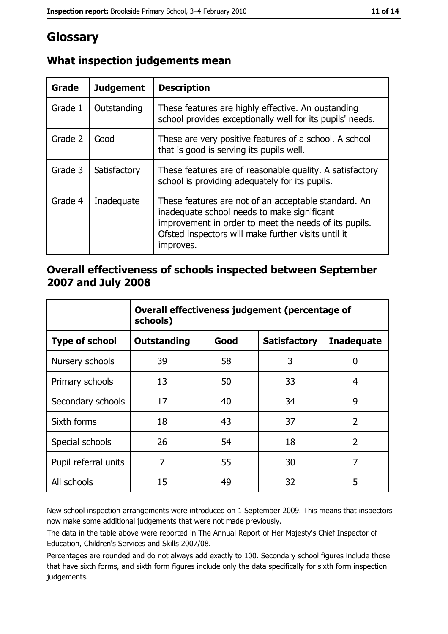## Glossary

| Grade   | <b>Judgement</b> | <b>Description</b>                                                                                                                                                                                                               |
|---------|------------------|----------------------------------------------------------------------------------------------------------------------------------------------------------------------------------------------------------------------------------|
| Grade 1 | Outstanding      | These features are highly effective. An oustanding<br>school provides exceptionally well for its pupils' needs.                                                                                                                  |
| Grade 2 | Good             | These are very positive features of a school. A school<br>that is good is serving its pupils well.                                                                                                                               |
| Grade 3 | Satisfactory     | These features are of reasonable quality. A satisfactory<br>school is providing adequately for its pupils.                                                                                                                       |
| Grade 4 | Inadequate       | These features are not of an acceptable standard. An<br>inadequate school needs to make significant<br>improvement in order to meet the needs of its pupils.<br>Ofsted inspectors will make further visits until it<br>improves. |

## What inspection judgements mean

#### Overall effectiveness of schools inspected between September 2007 and July 2008

|                       | Overall effectiveness judgement (percentage of<br>schools) |      |                     |                   |
|-----------------------|------------------------------------------------------------|------|---------------------|-------------------|
| <b>Type of school</b> | <b>Outstanding</b>                                         | Good | <b>Satisfactory</b> | <b>Inadequate</b> |
| Nursery schools       | 39                                                         | 58   | 3                   | 0                 |
| Primary schools       | 13                                                         | 50   | 33                  | 4                 |
| Secondary schools     | 17                                                         | 40   | 34                  | 9                 |
| Sixth forms           | 18                                                         | 43   | 37                  | $\overline{2}$    |
| Special schools       | 26                                                         | 54   | 18                  | $\overline{2}$    |
| Pupil referral units  | 7                                                          | 55   | 30                  | 7                 |
| All schools           | 15                                                         | 49   | 32                  | 5                 |

New school inspection arrangements were introduced on 1 September 2009. This means that inspectors now make some additional judgements that were not made previously.

The data in the table above were reported in The Annual Report of Her Majesty's Chief Inspector of Education, Children's Services and Skills 2007/08.

Percentages are rounded and do not always add exactly to 100. Secondary school figures include those that have sixth forms, and sixth form figures include only the data specifically for sixth form inspection judgements.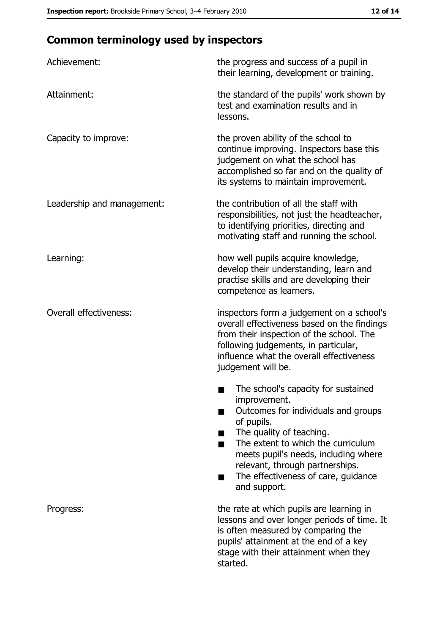# **Common terminology used by inspectors**

| Achievement:                  | the progress and success of a pupil in<br>their learning, development or training.                                                                                                                                                                                                                                |
|-------------------------------|-------------------------------------------------------------------------------------------------------------------------------------------------------------------------------------------------------------------------------------------------------------------------------------------------------------------|
| Attainment:                   | the standard of the pupils' work shown by<br>test and examination results and in<br>lessons.                                                                                                                                                                                                                      |
| Capacity to improve:          | the proven ability of the school to<br>continue improving. Inspectors base this<br>judgement on what the school has<br>accomplished so far and on the quality of<br>its systems to maintain improvement.                                                                                                          |
| Leadership and management:    | the contribution of all the staff with<br>responsibilities, not just the headteacher,<br>to identifying priorities, directing and<br>motivating staff and running the school.                                                                                                                                     |
| Learning:                     | how well pupils acquire knowledge,<br>develop their understanding, learn and<br>practise skills and are developing their<br>competence as learners.                                                                                                                                                               |
| <b>Overall effectiveness:</b> | inspectors form a judgement on a school's<br>overall effectiveness based on the findings<br>from their inspection of the school. The<br>following judgements, in particular,<br>influence what the overall effectiveness<br>judgement will be.                                                                    |
|                               | The school's capacity for sustained<br>improvement.<br>Outcomes for individuals and groups<br>of pupils.<br>The quality of teaching.<br>The extent to which the curriculum<br>meets pupil's needs, including where<br>relevant, through partnerships.<br>The effectiveness of care, guidance<br>٠<br>and support. |
| Progress:                     | the rate at which pupils are learning in<br>lessons and over longer periods of time. It<br>is often measured by comparing the<br>pupils' attainment at the end of a key<br>stage with their attainment when they<br>started.                                                                                      |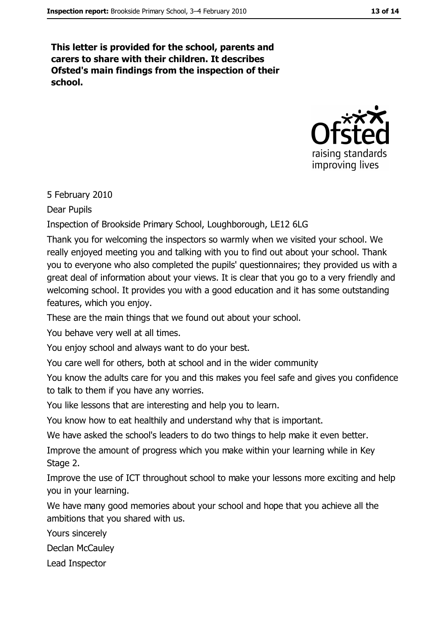This letter is provided for the school, parents and carers to share with their children. It describes Ofsted's main findings from the inspection of their school.



5 February 2010

Dear Pupils

Inspection of Brookside Primary School, Loughborough, LE12 6LG

Thank you for welcoming the inspectors so warmly when we visited your school. We really enjoyed meeting you and talking with you to find out about your school. Thank you to everyone who also completed the pupils' questionnaires; they provided us with a great deal of information about your views. It is clear that you go to a very friendly and welcoming school. It provides you with a good education and it has some outstanding features, which you enjoy.

These are the main things that we found out about your school.

You behave very well at all times.

You enjoy school and always want to do your best.

You care well for others, both at school and in the wider community

You know the adults care for you and this makes you feel safe and gives you confidence to talk to them if you have any worries.

You like lessons that are interesting and help you to learn.

You know how to eat healthily and understand why that is important.

We have asked the school's leaders to do two things to help make it even better.

Improve the amount of progress which you make within your learning while in Key Stage 2.

Improve the use of ICT throughout school to make your lessons more exciting and help you in your learning.

We have many good memories about your school and hope that you achieve all the ambitions that you shared with us.

Yours sincerely

Declan McCauley

Lead Inspector